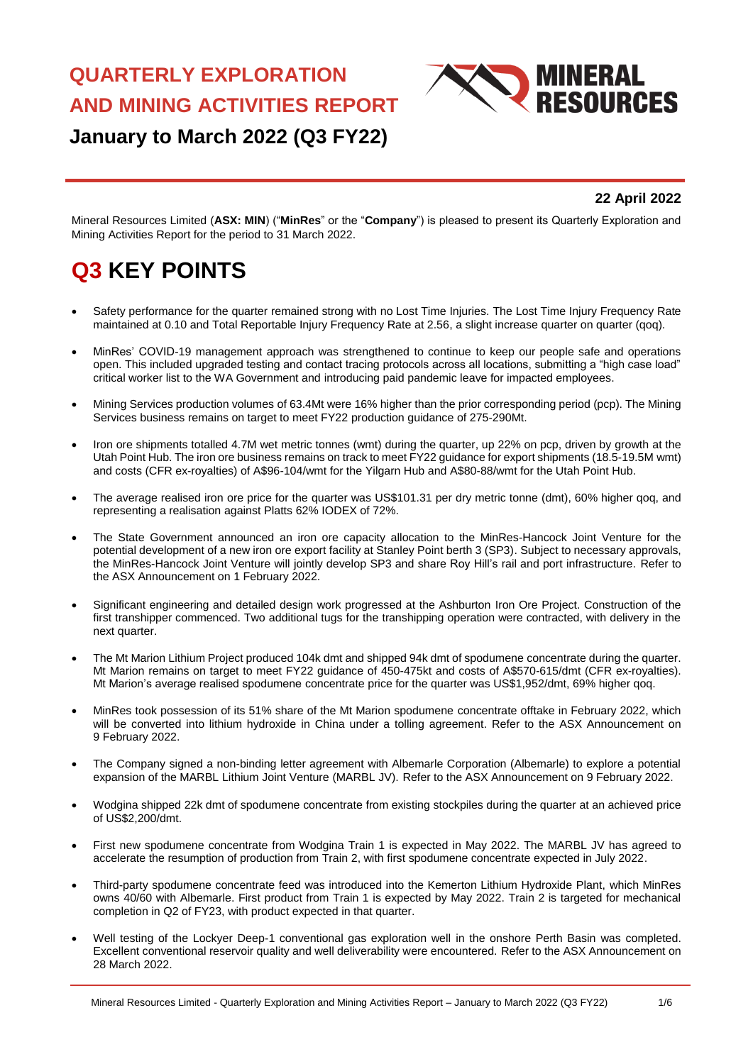# **QUARTERLY EXPLORATION AND MINING ACTIVITIES REPORT**



## **January to March 2022 (Q3 FY22)**

#### **22 April 2022**

Mineral Resources Limited (**ASX: MIN**) ("**MinRes**" or the "**Company**") is pleased to present its Quarterly Exploration and Mining Activities Report for the period to 31 March 2022.

## **Q3 KEY POINTS**

- Safety performance for the quarter remained strong with no Lost Time Injuries. The Lost Time Injury Frequency Rate maintained at 0.10 and Total Reportable Injury Frequency Rate at 2.56, a slight increase quarter on quarter (qoq).
- MinRes' COVID-19 management approach was strengthened to continue to keep our people safe and operations open. This included upgraded testing and contact tracing protocols across all locations, submitting a "high case load" critical worker list to the WA Government and introducing paid pandemic leave for impacted employees.
- Mining Services production volumes of 63.4Mt were 16% higher than the prior corresponding period (pcp). The Mining Services business remains on target to meet FY22 production guidance of 275-290Mt.
- Iron ore shipments totalled 4.7M wet metric tonnes (wmt) during the quarter, up 22% on pcp, driven by growth at the Utah Point Hub. The iron ore business remains on track to meet FY22 guidance for export shipments (18.5-19.5M wmt) and costs (CFR ex-royalties) of A\$96-104/wmt for the Yilgarn Hub and A\$80-88/wmt for the Utah Point Hub.
- The average realised iron ore price for the quarter was US\$101.31 per dry metric tonne (dmt), 60% higher qoq, and representing a realisation against Platts 62% IODEX of 72%.
- The State Government announced an iron ore capacity allocation to the MinRes-Hancock Joint Venture for the potential development of a new iron ore export facility at Stanley Point berth 3 (SP3). Subject to necessary approvals, the MinRes-Hancock Joint Venture will jointly develop SP3 and share Roy Hill's rail and port infrastructure. Refer to the ASX Announcement on 1 February 2022.
- Significant engineering and detailed design work progressed at the Ashburton Iron Ore Project. Construction of the first transhipper commenced. Two additional tugs for the transhipping operation were contracted, with delivery in the next quarter.
- The Mt Marion Lithium Project produced 104k dmt and shipped 94k dmt of spodumene concentrate during the quarter. Mt Marion remains on target to meet FY22 guidance of 450-475kt and costs of A\$570-615/dmt (CFR ex-royalties). Mt Marion's average realised spodumene concentrate price for the quarter was US\$1,952/dmt, 69% higher qoq.
- MinRes took possession of its 51% share of the Mt Marion spodumene concentrate offtake in February 2022, which will be converted into lithium hydroxide in China under a tolling agreement. Refer to the ASX Announcement on 9 February 2022.
- The Company signed a non-binding letter agreement with Albemarle Corporation (Albemarle) to explore a potential expansion of the MARBL Lithium Joint Venture (MARBL JV). Refer to the ASX Announcement on 9 February 2022.
- Wodgina shipped 22k dmt of spodumene concentrate from existing stockpiles during the quarter at an achieved price of US\$2,200/dmt.
- First new spodumene concentrate from Wodgina Train 1 is expected in May 2022. The MARBL JV has agreed to accelerate the resumption of production from Train 2, with first spodumene concentrate expected in July 2022.
- Third-party spodumene concentrate feed was introduced into the Kemerton Lithium Hydroxide Plant, which MinRes owns 40/60 with Albemarle. First product from Train 1 is expected by May 2022. Train 2 is targeted for mechanical completion in Q2 of FY23, with product expected in that quarter.
- Well testing of the Lockyer Deep-1 conventional gas exploration well in the onshore Perth Basin was completed. Excellent conventional reservoir quality and well deliverability were encountered. Refer to the ASX Announcement on 28 March 2022.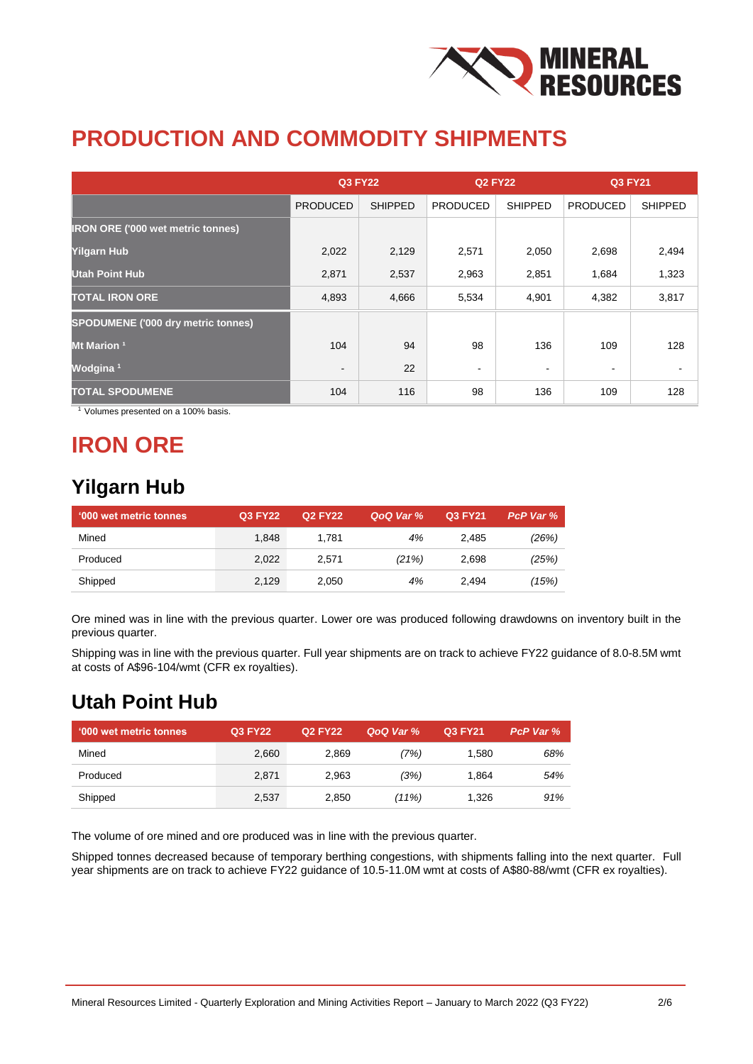

## **PRODUCTION AND COMMODITY SHIPMENTS**

|                                           | <b>Q3 FY22</b>  |                | <b>Q2 FY22</b>  |                | <b>Q3 FY21</b>  |                |
|-------------------------------------------|-----------------|----------------|-----------------|----------------|-----------------|----------------|
|                                           | <b>PRODUCED</b> | <b>SHIPPED</b> | <b>PRODUCED</b> | <b>SHIPPED</b> | <b>PRODUCED</b> | <b>SHIPPED</b> |
| <b>IRON ORE ('000 wet metric tonnes)</b>  |                 |                |                 |                |                 |                |
| <b>Yilgarn Hub</b>                        | 2,022           | 2,129          | 2,571           | 2,050          | 2,698           | 2,494          |
| <b>Utah Point Hub</b>                     | 2,871           | 2,537          | 2,963           | 2,851          | 1,684           | 1,323          |
| <b>TOTAL IRON ORE</b>                     | 4,893           | 4,666          | 5,534           | 4,901          | 4,382           | 3,817          |
| <b>SPODUMENE ('000 dry metric tonnes)</b> |                 |                |                 |                |                 |                |
| Mt Marion <sup>1</sup>                    | 104             | 94             | 98              | 136            | 109             | 128            |
| Wodgina <sup>1</sup>                      | $\blacksquare$  | 22             | ۰               | ۰              | $\blacksquare$  |                |
| <b>TOTAL SPODUMENE</b>                    | 104             | 116            | 98              | 136            | 109             | 128            |

<sup>1</sup> Volumes presented on a 100% basis.

## **IRON ORE**

#### **Yilgarn Hub**

| <b>'000 wet metric tonnes</b> | <b>Q3 FY22</b> | <b>Q2 FY22</b> | QoQ Var % | Q3 FY21 | PcP Var % |
|-------------------------------|----------------|----------------|-----------|---------|-----------|
| Mined                         | 1.848          | 1.781          | 4%        | 2.485   | (26%)     |
| Produced                      | 2,022          | 2.571          | (21%)     | 2,698   | (25%)     |
| Shipped                       | 2,129          | 2.050          | 4%        | 2.494   | (15%)     |

Ore mined was in line with the previous quarter. Lower ore was produced following drawdowns on inventory built in the previous quarter.

Shipping was in line with the previous quarter. Full year shipments are on track to achieve FY22 guidance of 8.0-8.5M wmt at costs of A\$96-104/wmt (CFR ex royalties).

#### **Utah Point Hub**

| ↑ '000 wet metric tonnes | Q3 FY22 | Q2 FY22 | QoQ Var % | Q3 FY21 | PcP Var % |
|--------------------------|---------|---------|-----------|---------|-----------|
| Mined                    | 2,660   | 2,869   | (7%)      | 1.580   | 68%       |
| Produced                 | 2.871   | 2.963   | (3%)      | 1.864   | 54%       |
| Shipped                  | 2,537   | 2,850   | $(11\%)$  | 1.326   | 91%       |

The volume of ore mined and ore produced was in line with the previous quarter.

Shipped tonnes decreased because of temporary berthing congestions, with shipments falling into the next quarter. Full year shipments are on track to achieve FY22 guidance of 10.5-11.0M wmt at costs of A\$80-88/wmt (CFR ex royalties).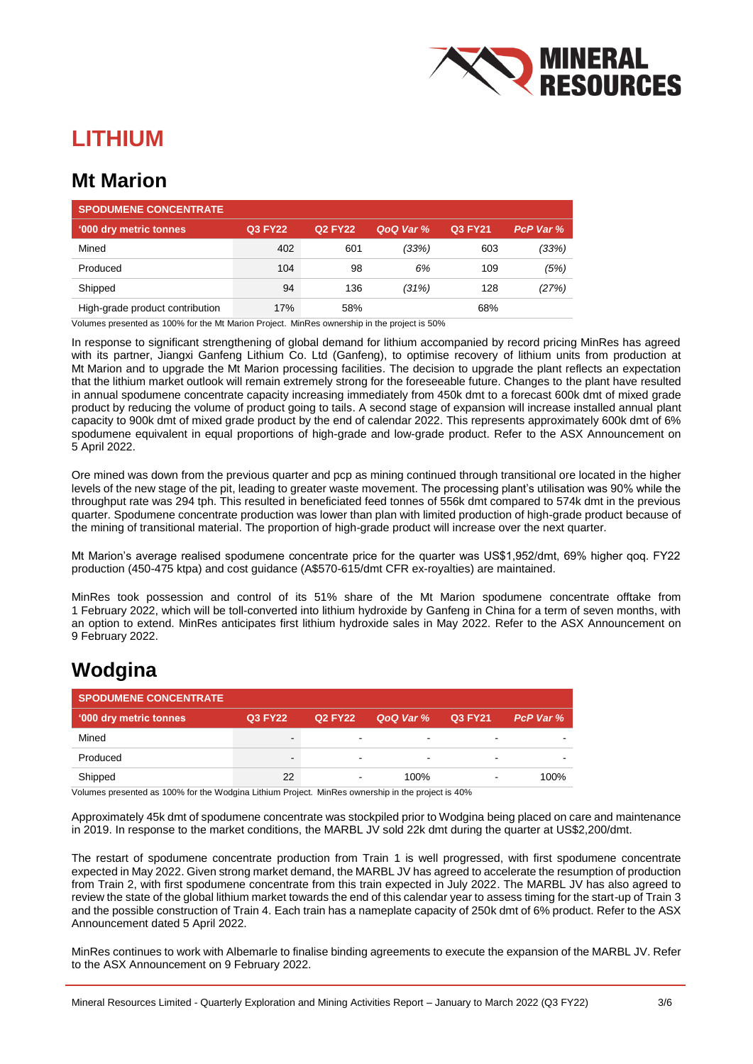

## **LITHIUM**

#### **Mt Marion**

| <b>SPODUMENE CONCENTRATE</b>    |         |                |           |         |           |
|---------------------------------|---------|----------------|-----------|---------|-----------|
| '000 dry metric tonnes          | Q3 FY22 | <b>Q2 FY22</b> | QoQ Var % | Q3 FY21 | PcP Var % |
| Mined                           | 402     | 601            | (33%)     | 603     | (33%)     |
| Produced                        | 104     | 98             | 6%        | 109     | (5%)      |
| Shipped                         | 94      | 136            | (31%)     | 128     | (27%)     |
| High-grade product contribution | 17%     | 58%            |           | 68%     |           |

Volumes presented as 100% for the Mt Marion Project. MinRes ownership in the project is 50%

In response to significant strengthening of global demand for lithium accompanied by record pricing MinRes has agreed with its partner, Jiangxi Ganfeng Lithium Co. Ltd (Ganfeng), to optimise recovery of lithium units from production at Mt Marion and to upgrade the Mt Marion processing facilities. The decision to upgrade the plant reflects an expectation that the lithium market outlook will remain extremely strong for the foreseeable future. Changes to the plant have resulted in annual spodumene concentrate capacity increasing immediately from 450k dmt to a forecast 600k dmt of mixed grade product by reducing the volume of product going to tails. A second stage of expansion will increase installed annual plant capacity to 900k dmt of mixed grade product by the end of calendar 2022. This represents approximately 600k dmt of 6% spodumene equivalent in equal proportions of high-grade and low-grade product. Refer to the ASX Announcement on 5 April 2022.

Ore mined was down from the previous quarter and pcp as mining continued through transitional ore located in the higher levels of the new stage of the pit, leading to greater waste movement. The processing plant's utilisation was 90% while the throughput rate was 294 tph. This resulted in beneficiated feed tonnes of 556k dmt compared to 574k dmt in the previous quarter. Spodumene concentrate production was lower than plan with limited production of high-grade product because of the mining of transitional material. The proportion of high-grade product will increase over the next quarter.

Mt Marion's average realised spodumene concentrate price for the quarter was US\$1,952/dmt, 69% higher qoq. FY22 production (450-475 ktpa) and cost guidance (A\$570-615/dmt CFR ex-royalties) are maintained.

MinRes took possession and control of its 51% share of the Mt Marion spodumene concentrate offtake from 1 February 2022, which will be toll-converted into lithium hydroxide by Ganfeng in China for a term of seven months, with an option to extend. MinRes anticipates first lithium hydroxide sales in May 2022. Refer to the ASX Announcement on 9 February 2022.

#### **Wodgina**

| <b>SPODUMENE CONCENTRATE</b> |         |                          |           |                          |           |
|------------------------------|---------|--------------------------|-----------|--------------------------|-----------|
| '000 dry metric tonnes       | Q3 FY22 | Q2 FY22                  | QoQ Var % | <b>Q3 FY21</b>           | PcP Var % |
| Mined                        | -       | -                        |           |                          |           |
| Produced                     | -       | $\overline{\phantom{0}}$ | -         | -                        |           |
| Shipped                      | 22      | $\blacksquare$           | 100%      | $\overline{\phantom{0}}$ | 100%      |

Volumes presented as 100% for the Wodgina Lithium Project. MinRes ownership in the project is 40%

Approximately 45k dmt of spodumene concentrate was stockpiled prior to Wodgina being placed on care and maintenance in 2019. In response to the market conditions, the MARBL JV sold 22k dmt during the quarter at US\$2,200/dmt.

The restart of spodumene concentrate production from Train 1 is well progressed, with first spodumene concentrate expected in May 2022. Given strong market demand, the MARBL JV has agreed to accelerate the resumption of production from Train 2, with first spodumene concentrate from this train expected in July 2022. The MARBL JV has also agreed to review the state of the global lithium market towards the end of this calendar year to assess timing for the start-up of Train 3 and the possible construction of Train 4. Each train has a nameplate capacity of 250k dmt of 6% product. Refer to the ASX Announcement dated 5 April 2022.

MinRes continues to work with Albemarle to finalise binding agreements to execute the expansion of the MARBL JV. Refer to the ASX Announcement on 9 February 2022.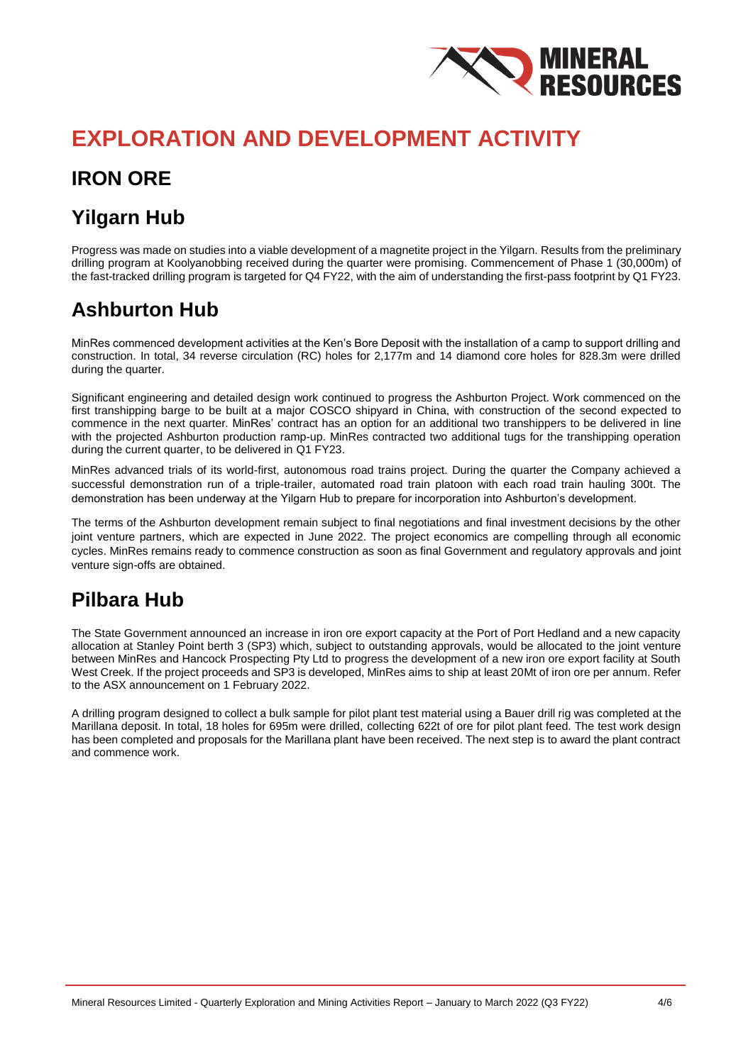

## **EXPLORATION AND DEVELOPMENT ACTIVITY**

### **IRON ORE**

### **Yilgarn Hub**

Progress was made on studies into a viable development of a magnetite project in the Yilgarn. Results from the preliminary drilling program at Koolyanobbing received during the quarter were promising. Commencement of Phase 1 (30,000m) of the fast-tracked drilling program is targeted for Q4 FY22, with the aim of understanding the first-pass footprint by Q1 FY23.

#### **Ashburton Hub**

MinRes commenced development activities at the Ken's Bore Deposit with the installation of a camp to support drilling and construction. In total, 34 reverse circulation (RC) holes for 2,177m and 14 diamond core holes for 828.3m were drilled during the quarter.

Significant engineering and detailed design work continued to progress the Ashburton Project. Work commenced on the first transhipping barge to be built at a major COSCO shipyard in China, with construction of the second expected to commence in the next quarter. MinRes' contract has an option for an additional two transhippers to be delivered in line with the projected Ashburton production ramp-up. MinRes contracted two additional tugs for the transhipping operation during the current quarter, to be delivered in Q1 FY23.

MinRes advanced trials of its world-first, autonomous road trains project. During the quarter the Company achieved a successful demonstration run of a triple-trailer, automated road train platoon with each road train hauling 300t. The demonstration has been underway at the Yilgarn Hub to prepare for incorporation into Ashburton's development.

The terms of the Ashburton development remain subject to final negotiations and final investment decisions by the other joint venture partners, which are expected in June 2022. The project economics are compelling through all economic cycles. MinRes remains ready to commence construction as soon as final Government and regulatory approvals and joint venture sign-offs are obtained.

#### **Pilbara Hub**

The State Government announced an increase in iron ore export capacity at the Port of Port Hedland and a new capacity allocation at Stanley Point berth 3 (SP3) which, subject to outstanding approvals, would be allocated to the joint venture between MinRes and Hancock Prospecting Pty Ltd to progress the development of a new iron ore export facility at South West Creek. If the project proceeds and SP3 is developed, MinRes aims to ship at least 20Mt of iron ore per annum. Refer to the ASX announcement on 1 February 2022.

A drilling program designed to collect a bulk sample for pilot plant test material using a Bauer drill rig was completed at the Marillana deposit. In total, 18 holes for 695m were drilled, collecting 622t of ore for pilot plant feed. The test work design has been completed and proposals for the Marillana plant have been received. The next step is to award the plant contract and commence work.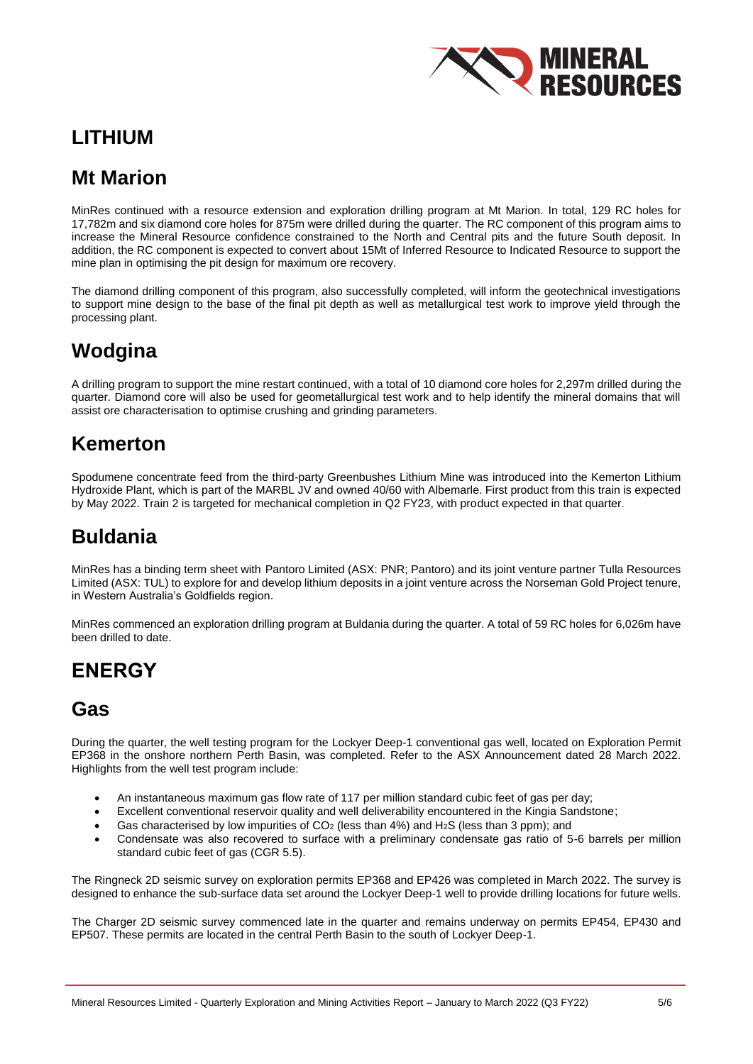

#### **LITHIUM**

#### **Mt Marion**

MinRes continued with a resource extension and exploration drilling program at Mt Marion. In total, 129 RC holes for 17,782m and six diamond core holes for 875m were drilled during the quarter. The RC component of this program aims to increase the Mineral Resource confidence constrained to the North and Central pits and the future South deposit. In addition, the RC component is expected to convert about 15Mt of Inferred Resource to Indicated Resource to support the mine plan in optimising the pit design for maximum ore recovery.

The diamond drilling component of this program, also successfully completed, will inform the geotechnical investigations to support mine design to the base of the final pit depth as well as metallurgical test work to improve yield through the processing plant.

### **Wodgina**

A drilling program to support the mine restart continued, with a total of 10 diamond core holes for 2,297m drilled during the quarter. Diamond core will also be used for geometallurgical test work and to help identify the mineral domains that will assist ore characterisation to optimise crushing and grinding parameters.

#### **Kemerton**

Spodumene concentrate feed from the third-party Greenbushes Lithium Mine was introduced into the Kemerton Lithium Hydroxide Plant, which is part of the MARBL JV and owned 40/60 with Albemarle. First product from this train is expected by May 2022. Train 2 is targeted for mechanical completion in Q2 FY23, with product expected in that quarter.

#### **Buldania**

MinRes has a binding term sheet with Pantoro Limited (ASX: PNR; Pantoro) and its joint venture partner Tulla Resources Limited (ASX: TUL) to explore for and develop lithium deposits in a joint venture across the Norseman Gold Project tenure, in Western Australia's Goldfields region.

MinRes commenced an exploration drilling program at Buldania during the quarter. A total of 59 RC holes for 6,026m have been drilled to date.

#### **ENERGY**

#### **Gas**

During the quarter, the well testing program for the Lockyer Deep-1 conventional gas well, located on Exploration Permit EP368 in the onshore northern Perth Basin, was completed. Refer to the ASX Announcement dated 28 March 2022. Highlights from the well test program include:

- An instantaneous maximum gas flow rate of 117 per million standard cubic feet of gas per day;
- Excellent conventional reservoir quality and well deliverability encountered in the Kingia Sandstone;
- Gas characterised by low impurities of  $CO<sub>2</sub>$  (less than 4%) and H<sub>2</sub>S (less than 3 ppm); and
- Condensate was also recovered to surface with a preliminary condensate gas ratio of 5-6 barrels per million standard cubic feet of gas (CGR 5.5).

The Ringneck 2D seismic survey on exploration permits EP368 and EP426 was completed in March 2022. The survey is designed to enhance the sub-surface data set around the Lockyer Deep-1 well to provide drilling locations for future wells.

The Charger 2D seismic survey commenced late in the quarter and remains underway on permits EP454, EP430 and EP507. These permits are located in the central Perth Basin to the south of Lockyer Deep-1.